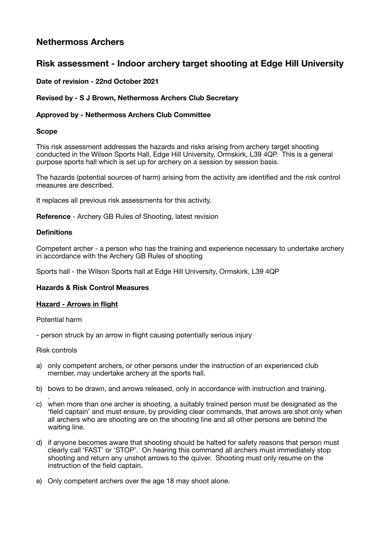# **Nethermoss Archers**

# **Risk assessment - Indoor archery target shooting at Edge Hill University**

# **Date of revision - 22nd October 2021**

# **Revised by - S J Brown, Nethermoss Archers Club Secretary**

# **Approved by - Nethermoss Archers Club Committee**

# **Scope**

This risk assessment addresses the hazards and risks arising from archery target shooting conducted in the Wilson Sports Hall, Edge Hill University, Ormskirk, L39 4QP. This is a general purpose sports hall which is set up for archery on a session by session basis.

The hazards (potential sources of harm) arising from the activity are identified and the risk control measures are described.

It replaces all previous risk assessments for this activity.

**Reference** - Archery GB Rules of Shooting, latest revision

## **Definitions**

Competent archer - a person who has the training and experience necessary to undertake archery in accordance with the Archery GB Rules of shooting

Sports hall - the Wilson Sports hall at Edge Hill University, Ormskirk, L39 4QP

# **Hazards & Risk Control Measures**

### **Hazard - Arrows in flight**

Potential harm

- person struck by an arrow in flight causing potentially serious injury

# Risk controls

- a) only competent archers, or other persons under the instruction of an experienced club member, may undertake archery at the sports hall.
- b) bows to be drawn, and arrows released, only in accordance with instruction and training.
- . c) when more than one archer is shooting, a suitably trained person must be designated as the 'field captain' and must ensure, by providing clear commands, that arrows are shot only when all archers who are shooting are on the shooting line and all other persons are behind the waiting line.
- d) if anyone becomes aware that shooting should be halted for safety reasons that person must clearly call 'FAST' or 'STOP'. On hearing this command all archers must immediately stop shooting and return any unshot arrows to the quiver. Shooting must only resume on the instruction of the field captain.
- e) Only competent archers over the age 18 may shoot alone.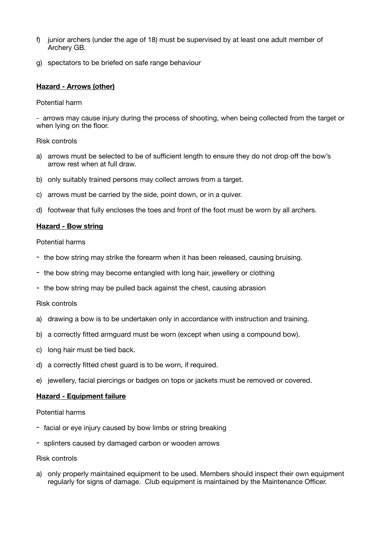- f) junior archers (under the age of 18) must be supervised by at least one adult member of Archery GB.
- g) spectators to be briefed on safe range behaviour

# **Hazard - Arrows (other)**

## Potential harm

- arrows may cause injury during the process of shooting, when being collected from the target or when lying on the floor.

## Risk controls

- a) arrows must be selected to be of sufficient length to ensure they do not drop off the bow's arrow rest when at full draw.
- b) only suitably trained persons may collect arrows from a target.
- c) arrows must be carried by the side, point down, or in a quiver.
- d) footwear that fully encloses the toes and front of the foot must be worn by all archers.

# **Hazard - Bow string**

Potential harms

- the bow string may strike the forearm when it has been released, causing bruising.
- the bow string may become entangled with long hair, jewellery or clothing
- the bow string may be pulled back against the chest, causing abrasion

### Risk controls

- a) drawing a bow is to be undertaken only in accordance with instruction and training.
- b) a correctly fitted armguard must be worn (except when using a compound bow).
- c) long hair must be tied back.
- d) a correctly fitted chest guard is to be worn, if required.
- e) jewellery, facial piercings or badges on tops or jackets must be removed or covered.

### **Hazard - Equipment failure**

### Potential harms

- facial or eye injury caused by bow limbs or string breaking
- splinters caused by damaged carbon or wooden arrows

### Risk controls

a) only properly maintained equipment to be used. Members should inspect their own equipment regularly for signs of damage. Club equipment is maintained by the Maintenance Officer.